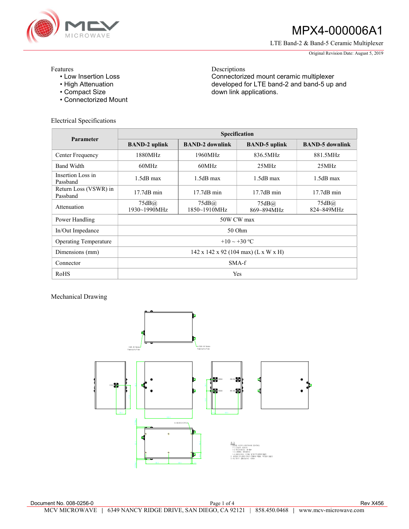

## MPX4-000006A1

LTE Band-2 & Band-5 Ceramic Multiplexer

Original Revision Date: August 5, 2019

Features

- Low Insertion Loss
- High Attenuation
- Compact Size
- Connectorized Mount

Electrical Specifications

Descriptions Connectorized mount ceramic multiplexer developed for LTE band-2 and band-5 up and down link applications.

| Parameter                         | <b>Specification</b>                             |                            |                      |                        |
|-----------------------------------|--------------------------------------------------|----------------------------|----------------------|------------------------|
|                                   | <b>BAND-2 uplink</b>                             | <b>BAND-2 downlink</b>     | <b>BAND-5</b> uplink | <b>BAND-5</b> downlink |
| Center Frequency                  | 1880MHz                                          | 1960MHz                    | 836.5MHz             | 881.5MHz               |
| <b>Band Width</b>                 | 60MHz                                            | 60MHz                      | 25MHz                | 25MHz                  |
| Insertion Loss in<br>Passband     | $1.5dB$ max                                      | $1.5dB$ max                | $1.5dB$ max          | $1.5dB$ max            |
| Return Loss (VSWR) in<br>Passband | $17.7dB$ min                                     | $17.7dB$ min               | $17.7dB$ min         | $17.7dB$ min           |
| Attenuation                       | 75dB@<br>1930~1990MHz                            | 75dB@<br>$1850 - 1910$ MHz | 75dB@<br>869~894MHz  | 75dB(a)<br>824~849MHz  |
| Power Handling                    | 50W CW max                                       |                            |                      |                        |
| In/Out Impedance                  | 50 Ohm                                           |                            |                      |                        |
| <b>Operating Temperature</b>      | $+10 \sim +30$ °C                                |                            |                      |                        |
| Dimensions (mm)                   | $142 \times 142 \times 92$ (104 max) (L x W x H) |                            |                      |                        |
| Connector                         | SMA-f                                            |                            |                      |                        |
| RoHS                              | Yes                                              |                            |                      |                        |

Mechanical Drawing

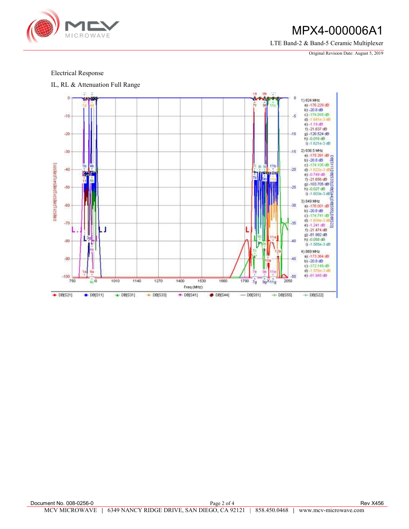

## MPX4-000006A1

LTE Band-2 & Band-5 Ceramic Multiplexer

Original Revision Date: August 5, 2019

## Electrical Response

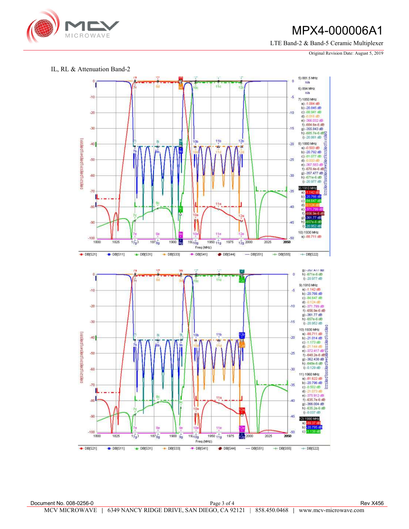

## MPX4-000006A1

LTE Band-2 & Band-5 Ceramic Multiplexer

Original Revision Date: August 5, 2019